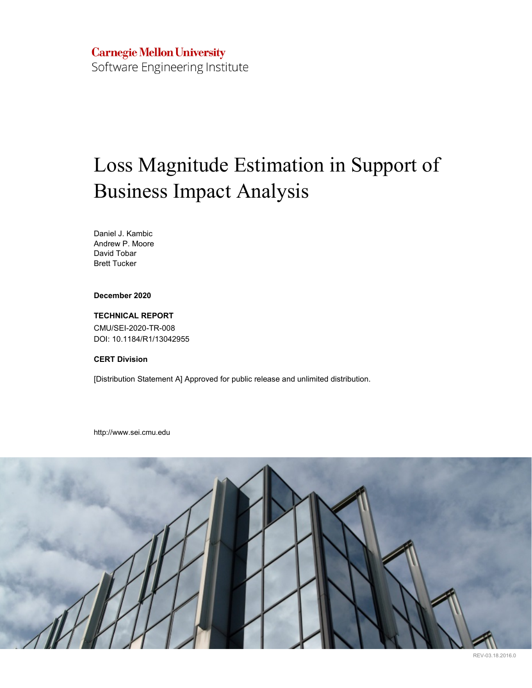### **Carnegie Mellon University** Software Engineering Institute

# Loss Magnitude Estimation in Support of Business Impact Analysis

Daniel J. Kambic Andrew P. Moore David Tobar Brett Tucker

#### **December 2020**

#### **TECHNICAL REPORT**

CMU/SEI-2020-TR-008 [DOI: 10.1184/R1/13042955](https://doi.org/10.1184/R1/13042955)

#### **CERT Division**

[Distribution Statement A] Approved for public release and unlimited distribution.

<http://www.sei.cmu.edu>

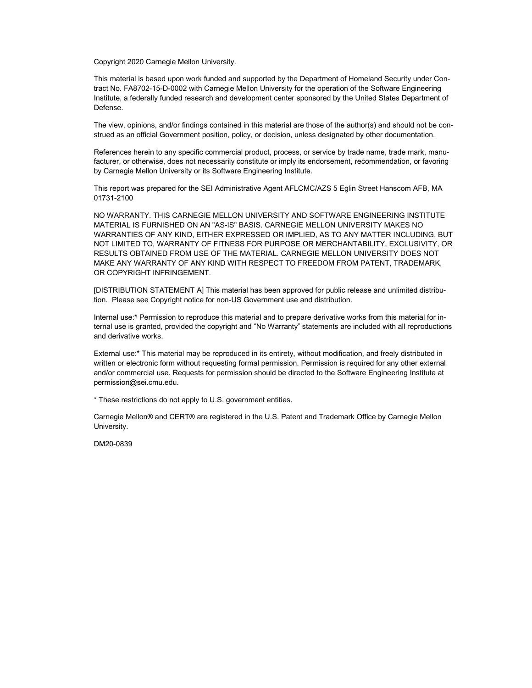Copyright 2020 Carnegie Mellon University.

This material is based upon work funded and supported by the Department of Homeland Security under Contract No. FA8702-15-D-0002 with Carnegie Mellon University for the operation of the Software Engineering Institute, a federally funded research and development center sponsored by the United States Department of Defense.

The view, opinions, and/or findings contained in this material are those of the author(s) and should not be construed as an official Government position, policy, or decision, unless designated by other documentation.

References herein to any specific commercial product, process, or service by trade name, trade mark, manufacturer, or otherwise, does not necessarily constitute or imply its endorsement, recommendation, or favoring by Carnegie Mellon University or its Software Engineering Institute.

This report was prepared for the SEI Administrative Agent AFLCMC/AZS 5 Eglin Street Hanscom AFB, MA 01731-2100

NO WARRANTY. THIS CARNEGIE MELLON UNIVERSITY AND SOFTWARE ENGINEERING INSTITUTE MATERIAL IS FURNISHED ON AN "AS-IS" BASIS. CARNEGIE MELLON UNIVERSITY MAKES NO WARRANTIES OF ANY KIND, EITHER EXPRESSED OR IMPLIED, AS TO ANY MATTER INCLUDING, BUT NOT LIMITED TO, WARRANTY OF FITNESS FOR PURPOSE OR MERCHANTABILITY, EXCLUSIVITY, OR RESULTS OBTAINED FROM USE OF THE MATERIAL. CARNEGIE MELLON UNIVERSITY DOES NOT MAKE ANY WARRANTY OF ANY KIND WITH RESPECT TO FREEDOM FROM PATENT, TRADEMARK, OR COPYRIGHT INFRINGEMENT.

[DISTRIBUTION STATEMENT A] This material has been approved for public release and unlimited distribution. Please see Copyright notice for non-US Government use and distribution.

Internal use:\* Permission to reproduce this material and to prepare derivative works from this material for internal use is granted, provided the copyright and "No Warranty" statements are included with all reproductions and derivative works.

External use:\* This material may be reproduced in its entirety, without modification, and freely distributed in written or electronic form without requesting formal permission. Permission is required for any other external and/or commercial use. Requests for permission should be directed to the Software Engineering Institute at [permission@sei.cmu.edu.](mailto:permission@sei.cmu.edu)

\* These restrictions do not apply to U.S. government entities.

Carnegie Mellon® and CERT® are registered in the U.S. Patent and Trademark Office by Carnegie Mellon University.

DM20-0839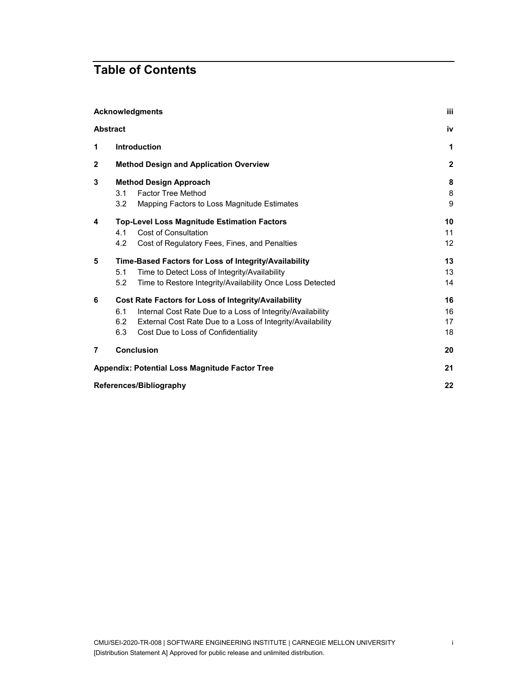# **Table of Contents**

|              | <b>Acknowledgments</b>                                            | iii          |  |
|--------------|-------------------------------------------------------------------|--------------|--|
|              | <b>Abstract</b>                                                   | iv           |  |
| 1            | <b>Introduction</b>                                               | $\mathbf 1$  |  |
| $\mathbf{2}$ | <b>Method Design and Application Overview</b>                     | $\mathbf{2}$ |  |
| 3            | <b>Method Design Approach</b>                                     | 8            |  |
|              | <b>Factor Tree Method</b><br>3.1                                  | 8            |  |
|              | 3.2<br>Mapping Factors to Loss Magnitude Estimates                | 9            |  |
| 4            | <b>Top-Level Loss Magnitude Estimation Factors</b>                | 10           |  |
|              | 4.1<br>Cost of Consultation                                       | 11           |  |
|              | 4.2<br>Cost of Regulatory Fees, Fines, and Penalties              | 12           |  |
| 5            | Time-Based Factors for Loss of Integrity/Availability             | 13           |  |
|              | 5.1<br>Time to Detect Loss of Integrity/Availability              | 13           |  |
|              | 5.2<br>Time to Restore Integrity/Availability Once Loss Detected  | 14           |  |
| 6            | Cost Rate Factors for Loss of Integrity/Availability              |              |  |
|              | Internal Cost Rate Due to a Loss of Integrity/Availability<br>6.1 | 16           |  |
|              | 6.2<br>External Cost Rate Due to a Loss of Integrity/Availability | 17           |  |
|              | 6.3<br>Cost Due to Loss of Confidentiality                        | 18           |  |
| 7            | <b>Conclusion</b>                                                 | 20           |  |
|              | Appendix: Potential Loss Magnitude Factor Tree                    | 21           |  |
|              | References/Bibliography                                           | 22           |  |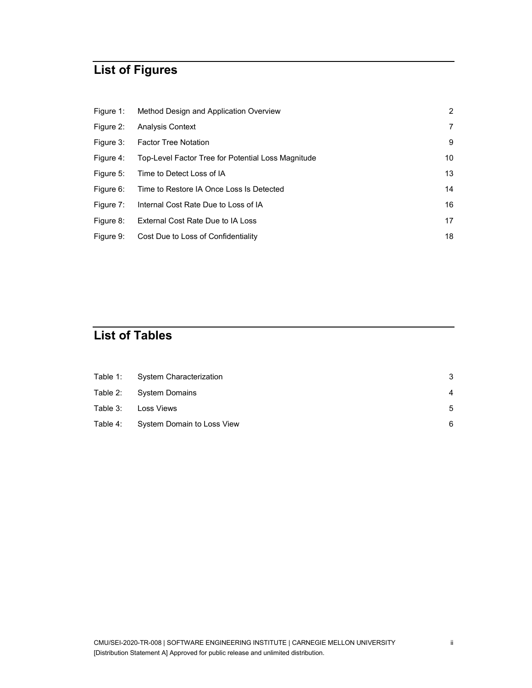# **List of Figures**

| Figure 1: | Method Design and Application Overview             | $\overline{2}$ |
|-----------|----------------------------------------------------|----------------|
| Figure 2: | <b>Analysis Context</b>                            | 7              |
| Figure 3: | <b>Factor Tree Notation</b>                        | 9              |
| Figure 4: | Top-Level Factor Tree for Potential Loss Magnitude | 10             |
| Figure 5: | Time to Detect Loss of IA                          | 13             |
| Figure 6: | Time to Restore IA Once Loss Is Detected           | 14             |
| Figure 7: | Internal Cost Rate Due to Loss of IA               | 16             |
| Figure 8: | External Cost Rate Due to IA Loss                  | 17             |
| Figure 9: | Cost Due to Loss of Confidentiality                | 18             |

# **List of Tables**

| Table 1: System Characterization    | 3              |
|-------------------------------------|----------------|
| Table 2: System Domains             | $\overline{4}$ |
| Table 3: Loss Views                 | $5^{\circ}$    |
| Table 4: System Domain to Loss View | 6              |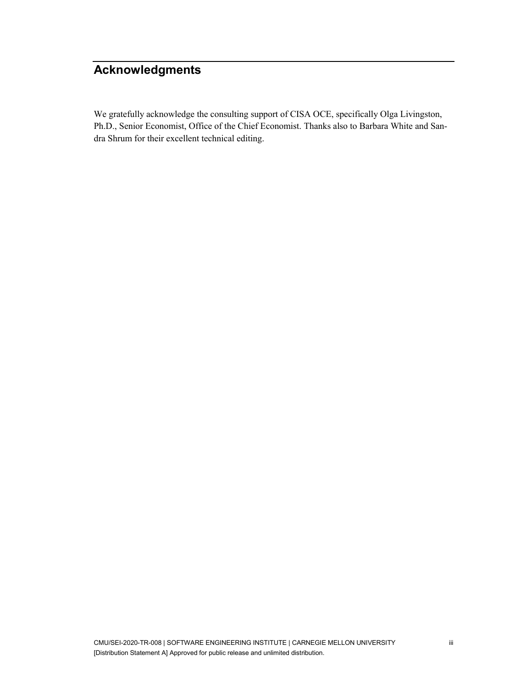## <span id="page-4-0"></span>**Acknowledgments**

We gratefully acknowledge the consulting support of CISA OCE, specifically Olga Livingston, Ph.D., Senior Economist, Office of the Chief Economist. Thanks also to Barbara White and Sandra Shrum for their excellent technical editing.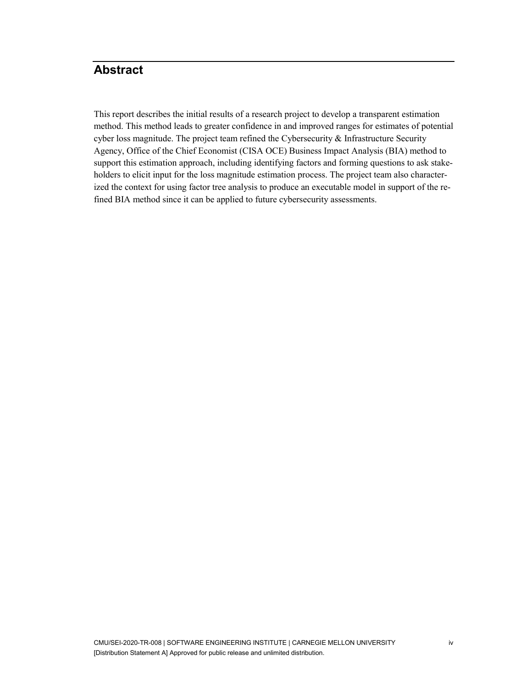### <span id="page-5-0"></span>**Abstract**

This report describes the initial results of a research project to develop a transparent estimation method. This method leads to greater confidence in and improved ranges for estimates of potential cyber loss magnitude. The project team refined the Cybersecurity & Infrastructure Security Agency, Office of the Chief Economist (CISA OCE) Business Impact Analysis (BIA) method to support this estimation approach, including identifying factors and forming questions to ask stakeholders to elicit input for the loss magnitude estimation process. The project team also characterized the context for using factor tree analysis to produce an executable model in support of the refined BIA method since it can be applied to future cybersecurity assessments.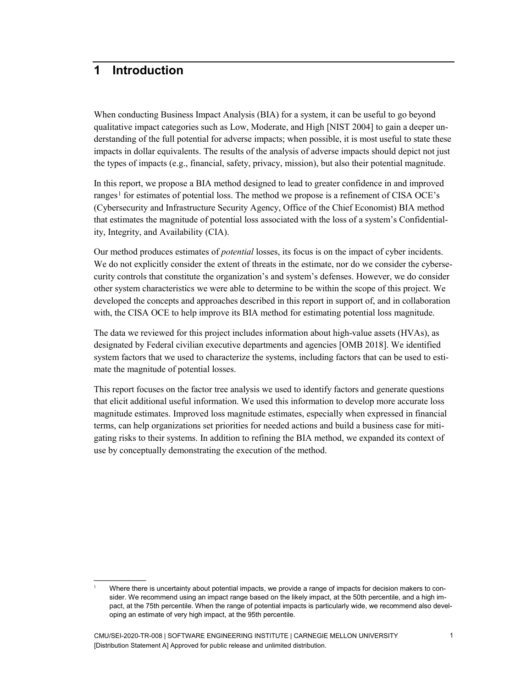### <span id="page-6-0"></span>**1 Introduction**

<span id="page-6-1"></span> $\overline{\phantom{a}}$ 

When conducting Business Impact Analysis (BIA) for a system, it can be useful to go beyond qualitative impact categories such as Low, Moderate, and High [NIST 2004] to gain a deeper understanding of the full potential for adverse impacts; when possible, it is most useful to state these impacts in dollar equivalents. The results of the analysis of adverse impacts should depict not just the types of impacts (e.g., financial, safety, privacy, mission), but also their potential magnitude.

In this report, we propose a BIA method designed to lead to greater confidence in and improved ranges<sup>[1](#page-6-1)</sup> for estimates of potential loss. The method we propose is a refinement of CISA OCE's (Cybersecurity and Infrastructure Security Agency, Office of the Chief Economist) BIA method that estimates the magnitude of potential loss associated with the loss of a system's Confidentiality, Integrity, and Availability (CIA).

Our method produces estimates of *potential* losses, its focus is on the impact of cyber incidents. We do not explicitly consider the extent of threats in the estimate, nor do we consider the cybersecurity controls that constitute the organization's and system's defenses. However, we do consider other system characteristics we were able to determine to be within the scope of this project. We developed the concepts and approaches described in this report in support of, and in collaboration with, the CISA OCE to help improve its BIA method for estimating potential loss magnitude.

The data we reviewed for this project includes information about high-value assets (HVAs), as designated by Federal civilian executive departments and agencies [OMB 2018]. We identified system factors that we used to characterize the systems, including factors that can be used to estimate the magnitude of potential losses.

This report focuses on the factor tree analysis we used to identify factors and generate questions that elicit additional useful information. We used this information to develop more accurate loss magnitude estimates. Improved loss magnitude estimates, especially when expressed in financial terms, can help organizations set priorities for needed actions and build a business case for mitigating risks to their systems. In addition to refining the BIA method, we expanded its context of use by conceptually demonstrating the execution of the method.

Where there is uncertainty about potential impacts, we provide a range of impacts for decision makers to consider. We recommend using an impact range based on the likely impact, at the 50th percentile, and a high impact, at the 75th percentile. When the range of potential impacts is particularly wide, we recommend also developing an estimate of very high impact, at the 95th percentile.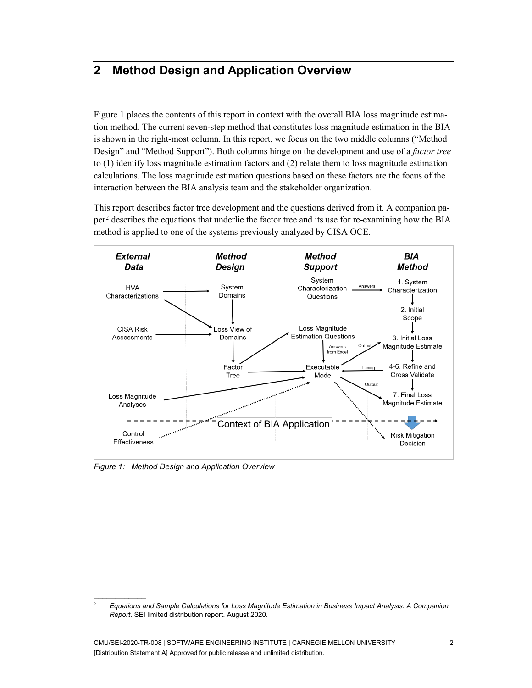### <span id="page-7-0"></span>**2 Method Design and Application Overview**

Figure 1 places the contents of this report in context with the overall BIA loss magnitude estimation method. The current seven-step method that constitutes loss magnitude estimation in the BIA is shown in the right-most column. In this report, we focus on the two middle columns ("Method Design" and "Method Support"). Both columns hinge on the development and use of a *factor tree* to (1) identify loss magnitude estimation factors and (2) relate them to loss magnitude estimation calculations. The loss magnitude estimation questions based on these factors are the focus of the interaction between the BIA analysis team and the stakeholder organization.

This report describes factor tree development and the questions derived from it. A companion paper[2](#page-7-2) describes the equations that underlie the factor tree and its use for re-examining how the BIA method is applied to one of the systems previously analyzed by CISA OCE.



<span id="page-7-1"></span>*Figure 1: Method Design and Application Overview*

\_\_\_\_\_\_\_\_\_\_\_\_

<span id="page-7-2"></span><sup>2</sup> *Equations and Sample Calculations for Loss Magnitude Estimation in Business Impact Analysis: A Companion Report*. SEI limited distribution report. August 2020.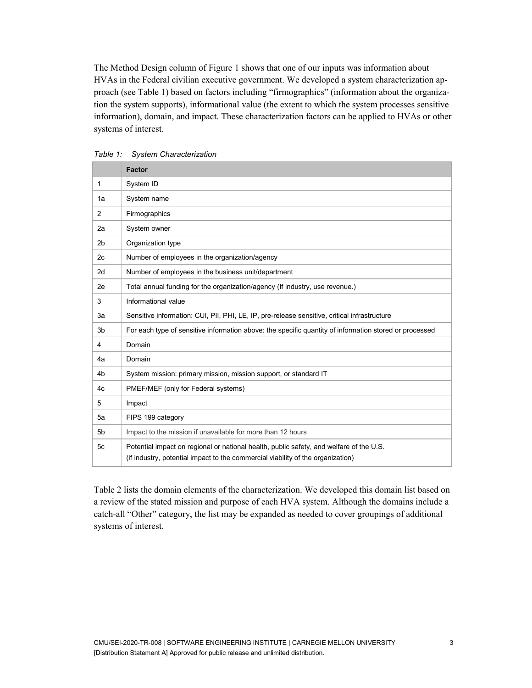The Method Design column of [Figure 1](#page-7-1) shows that one of our inputs was information about HVAs in the Federal civilian executive government. We developed a system characterization approach (se[e Table 1\)](#page-8-0) based on factors including "firmographics" (information about the organization the system supports), informational value (the extent to which the system processes sensitive information), domain, and impact. These characterization factors can be applied to HVAs or other systems of interest.

|                | <b>Factor</b>                                                                                                                                                              |
|----------------|----------------------------------------------------------------------------------------------------------------------------------------------------------------------------|
| 1              | System ID                                                                                                                                                                  |
| 1a             | System name                                                                                                                                                                |
| $\overline{2}$ | Firmographics                                                                                                                                                              |
| 2a             | System owner                                                                                                                                                               |
| 2 <sub>b</sub> | Organization type                                                                                                                                                          |
| 2c             | Number of employees in the organization/agency                                                                                                                             |
| 2d             | Number of employees in the business unit/department                                                                                                                        |
| 2e             | Total annual funding for the organization/agency (If industry, use revenue.)                                                                                               |
| 3              | Informational value                                                                                                                                                        |
| Зa             | Sensitive information: CUI, PII, PHI, LE, IP, pre-release sensitive, critical infrastructure                                                                               |
| 3b             | For each type of sensitive information above: the specific quantity of information stored or processed                                                                     |
| 4              | Domain                                                                                                                                                                     |
| 4a             | Domain                                                                                                                                                                     |
| 4 <sub>b</sub> | System mission: primary mission, mission support, or standard IT                                                                                                           |
| 4c             | PMEF/MEF (only for Federal systems)                                                                                                                                        |
| 5              | Impact                                                                                                                                                                     |
| 5a             | FIPS 199 category                                                                                                                                                          |
| 5b             | Impact to the mission if unavailable for more than 12 hours                                                                                                                |
| 5c             | Potential impact on regional or national health, public safety, and welfare of the U.S.<br>(if industry, potential impact to the commercial viability of the organization) |

<span id="page-8-0"></span>*Table 1: System Characterization*

[Table 2](#page-9-0) lists the domain elements of the characterization. We developed this domain list based on a review of the stated mission and purpose of each HVA system. Although the domains include a catch-all "Other" category, the list may be expanded as needed to cover groupings of additional systems of interest.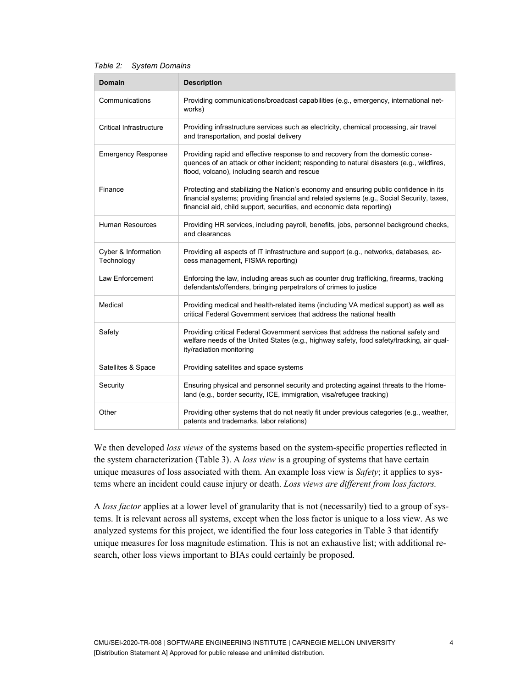#### <span id="page-9-0"></span>*Table 2: System Domains*

| <b>Domain</b>                     | <b>Description</b>                                                                                                                                                                                                                                           |  |  |  |
|-----------------------------------|--------------------------------------------------------------------------------------------------------------------------------------------------------------------------------------------------------------------------------------------------------------|--|--|--|
| Communications                    | Providing communications/broadcast capabilities (e.g., emergency, international net-<br>works)                                                                                                                                                               |  |  |  |
| <b>Critical Infrastructure</b>    | Providing infrastructure services such as electricity, chemical processing, air travel<br>and transportation, and postal delivery                                                                                                                            |  |  |  |
| <b>Emergency Response</b>         | Providing rapid and effective response to and recovery from the domestic conse-<br>quences of an attack or other incident; responding to natural disasters (e.g., wildfires,<br>flood, volcano), including search and rescue                                 |  |  |  |
| Finance                           | Protecting and stabilizing the Nation's economy and ensuring public confidence in its<br>financial systems; providing financial and related systems (e.g., Social Security, taxes,<br>financial aid, child support, securities, and economic data reporting) |  |  |  |
| <b>Human Resources</b>            | Providing HR services, including payroll, benefits, jobs, personnel background checks,<br>and clearances                                                                                                                                                     |  |  |  |
| Cyber & Information<br>Technology | Providing all aspects of IT infrastructure and support (e.g., networks, databases, ac-<br>cess management, FISMA reporting)                                                                                                                                  |  |  |  |
| <b>Law Enforcement</b>            | Enforcing the law, including areas such as counter drug trafficking, firearms, tracking<br>defendants/offenders, bringing perpetrators of crimes to justice                                                                                                  |  |  |  |
| Medical                           | Providing medical and health-related items (including VA medical support) as well as<br>critical Federal Government services that address the national health                                                                                                |  |  |  |
| Safety                            | Providing critical Federal Government services that address the national safety and<br>welfare needs of the United States (e.g., highway safety, food safety/tracking, air qual-<br>ity/radiation monitoring                                                 |  |  |  |
| Satellites & Space                | Providing satellites and space systems                                                                                                                                                                                                                       |  |  |  |
| Security                          | Ensuring physical and personnel security and protecting against threats to the Home-<br>land (e.g., border security, ICE, immigration, visa/refugee tracking)                                                                                                |  |  |  |
| Other                             | Providing other systems that do not neatly fit under previous categories (e.g., weather,<br>patents and trademarks, labor relations)                                                                                                                         |  |  |  |

We then developed *loss views* of the systems based on the system-specific properties reflected in the system characterization (Table 3). A *loss view* is a grouping of systems that have certain unique measures of loss associated with them. An example loss view is *Safety*; it applies to systems where an incident could cause injury or death. *Loss views are different from loss factors.*

A *loss factor* applies at a lower level of granularity that is not (necessarily) tied to a group of systems. It is relevant across all systems, except when the loss factor is unique to a loss view. As we analyzed systems for this project, we identified the four loss categories in [Table 3](#page-10-0) that identify unique measures for loss magnitude estimation. This is not an exhaustive list; with additional research, other loss views important to BIAs could certainly be proposed.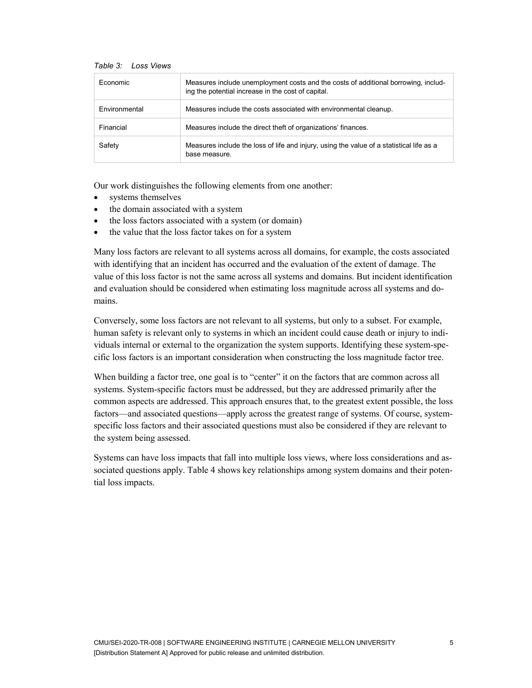#### <span id="page-10-0"></span>*Table 3: Loss Views*

| <b>Economic</b> | Measures include unemployment costs and the costs of additional borrowing, includ-<br>ing the potential increase in the cost of capital. |
|-----------------|------------------------------------------------------------------------------------------------------------------------------------------|
| Environmental   | Measures include the costs associated with environmental cleanup.                                                                        |
| Financial       | Measures include the direct theft of organizations' finances.                                                                            |
| Safety          | Measures include the loss of life and injury, using the value of a statistical life as a<br>base measure                                 |

Our work distinguishes the following elements from one another:

- systems themselves
- the domain associated with a system
- the loss factors associated with a system (or domain)
- the value that the loss factor takes on for a system

Many loss factors are relevant to all systems across all domains, for example, the costs associated with identifying that an incident has occurred and the evaluation of the extent of damage. The value of this loss factor is not the same across all systems and domains. But incident identification and evaluation should be considered when estimating loss magnitude across all systems and domains.

Conversely, some loss factors are not relevant to all systems, but only to a subset. For example, human safety is relevant only to systems in which an incident could cause death or injury to individuals internal or external to the organization the system supports. Identifying these system-specific loss factors is an important consideration when constructing the loss magnitude factor tree.

When building a factor tree, one goal is to "center" it on the factors that are common across all systems. System-specific factors must be addressed, but they are addressed primarily after the common aspects are addressed. This approach ensures that, to the greatest extent possible, the loss factors—and associated questions—apply across the greatest range of systems. Of course, systemspecific loss factors and their associated questions must also be considered if they are relevant to the system being assessed.

Systems can have loss impacts that fall into multiple loss views, where loss considerations and associated questions apply. Table 4 shows key relationships among system domains and their potential loss impacts.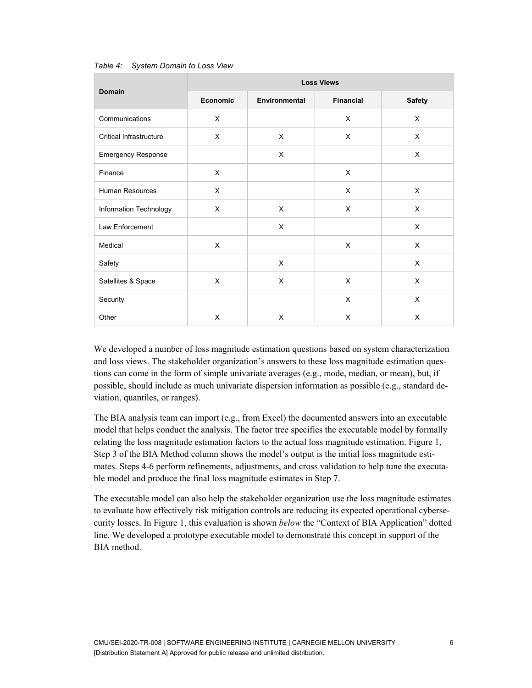|                                | <b>Loss Views</b> |               |           |               |
|--------------------------------|-------------------|---------------|-----------|---------------|
| <b>Domain</b>                  | Economic          | Environmental | Financial | <b>Safety</b> |
| Communications                 | X                 |               | X         | X             |
| <b>Critical Infrastructure</b> | X                 | X             | X         | X             |
| <b>Emergency Response</b>      |                   | X             |           | X             |
| Finance                        | X                 |               | X         |               |
| <b>Human Resources</b>         | X                 |               | X         | X             |
| Information Technology         | X                 | X             | X         | X             |
| Law Enforcement                |                   | X             |           | X             |
| Medical                        | X                 |               | X         | X             |
| Safety                         |                   | X             |           | X             |
| Satellites & Space             | $\times$          | X             | $\times$  | X             |
| Security                       |                   |               | X         | X             |
| Other                          | X                 | X             | X         | X             |

<span id="page-11-0"></span>*Table 4: System Domain to Loss View* 

We developed a number of loss magnitude estimation questions based on system characterization and loss views. The stakeholder organization's answers to these loss magnitude estimation questions can come in the form of simple univariate averages (e.g., mode, median, or mean), but, if possible, should include as much univariate dispersion information as possible (e.g., standard deviation, quantiles, or ranges).

The BIA analysis team can import (e.g., from Excel) the documented answers into an executable model that helps conduct the analysis. The factor tree specifies the executable model by formally relating the loss magnitude estimation factors to the actual loss magnitude estimation. [Figure 1,](#page-7-1) Step 3 of the BIA Method column shows the model's output is the initial loss magnitude estimates. Steps 4-6 perform refinements, adjustments, and cross validation to help tune the executable model and produce the final loss magnitude estimates in Step 7.

The executable model can also help the stakeholder organization use the loss magnitude estimates to evaluate how effectively risk mitigation controls are reducing its expected operational cybersecurity losses. In [Figure 1,](#page-7-1) this evaluation is shown *below* the "Context of BIA Application" dotted line. We developed a prototype executable model to demonstrate this concept in support of the BIA method.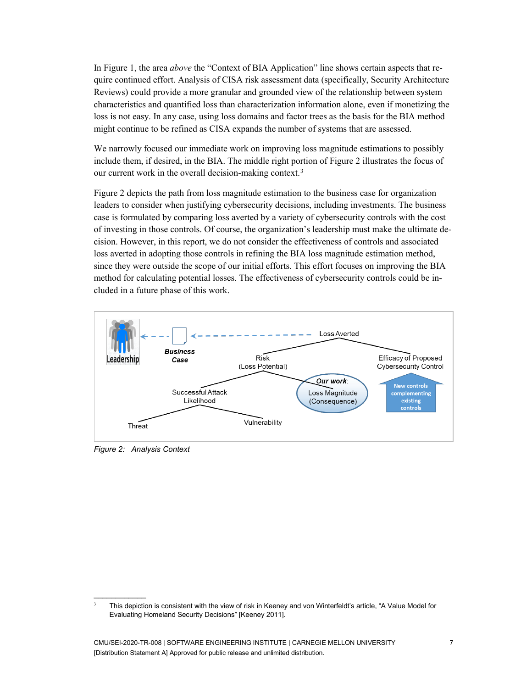In [Figure 1,](#page-7-1) the area *above* the "Context of BIA Application" line shows certain aspects that require continued effort. Analysis of CISA risk assessment data (specifically, Security Architecture Reviews) could provide a more granular and grounded view of the relationship between system characteristics and quantified loss than characterization information alone, even if monetizing the loss is not easy. In any case, using loss domains and factor trees as the basis for the BIA method might continue to be refined as CISA expands the number of systems that are assessed.

We narrowly focused our immediate work on improving loss magnitude estimations to possibly include them, if desired, in the BIA. The middle right portion of [Figure 2](#page-12-0) illustrates the focus of our current work in the overall decision-making context.<sup>[3](#page-12-1)</sup>

[Figure 2](#page-12-0) depicts the path from loss magnitude estimation to the business case for organization leaders to consider when justifying cybersecurity decisions, including investments. The business case is formulated by comparing loss averted by a variety of cybersecurity controls with the cost of investing in those controls. Of course, the organization's leadership must make the ultimate decision. However, in this report, we do not consider the effectiveness of controls and associated loss averted in adopting those controls in refining the BIA loss magnitude estimation method, since they were outside the scope of our initial efforts. This effort focuses on improving the BIA method for calculating potential losses. The effectiveness of cybersecurity controls could be included in a future phase of this work.



<span id="page-12-0"></span>*Figure 2: Analysis Context*

\_\_\_\_\_\_\_\_\_\_\_\_

<span id="page-12-1"></span>This depiction is consistent with the view of risk in Keeney and von Winterfeldt's article, "A Value Model for Evaluating Homeland Security Decisions" [Keeney 2011].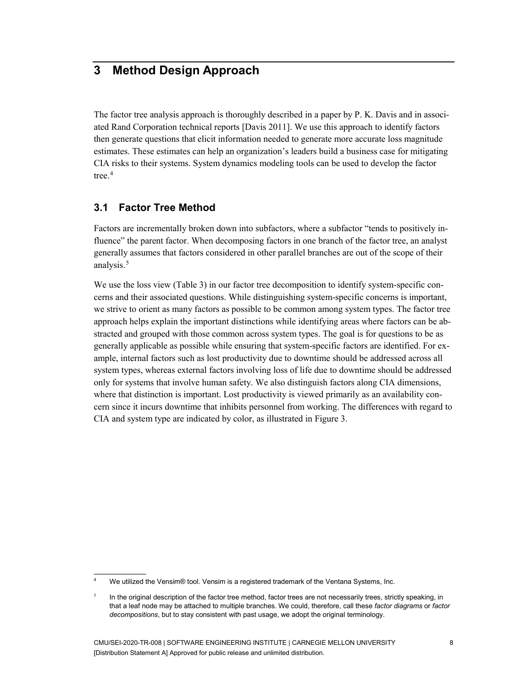### <span id="page-13-0"></span>**3 Method Design Approach**

The factor tree analysis approach is thoroughly described in a paper by P. K. Davis and in associated Rand Corporation technical reports [Davis 2011]. We use this approach to identify factors then generate questions that elicit information needed to generate more accurate loss magnitude estimates. These estimates can help an organization's leaders build a business case for mitigating CIA risks to their systems. System dynamics modeling tools can be used to develop the factor tree.<sup>[4](#page-13-2)</sup>

### <span id="page-13-1"></span>**3.1 Factor Tree Method**

 $\overline{\phantom{a}}$ 

Factors are incrementally broken down into subfactors, where a subfactor "tends to positively influence" the parent factor. When decomposing factors in one branch of the factor tree, an analyst generally assumes that factors considered in other parallel branches are out of the scope of their analysis.[5](#page-13-3)

We use the loss view [\(Table 3\)](#page-10-0) in our factor tree decomposition to identify system-specific concerns and their associated questions. While distinguishing system-specific concerns is important, we strive to orient as many factors as possible to be common among system types. The factor tree approach helps explain the important distinctions while identifying areas where factors can be abstracted and grouped with those common across system types. The goal is for questions to be as generally applicable as possible while ensuring that system-specific factors are identified. For example, internal factors such as lost productivity due to downtime should be addressed across all system types, whereas external factors involving loss of life due to downtime should be addressed only for systems that involve human safety. We also distinguish factors along CIA dimensions, where that distinction is important. Lost productivity is viewed primarily as an availability concern since it incurs downtime that inhibits personnel from working. The differences with regard to CIA and system type are indicated by color, as illustrated in Figure 3.

<span id="page-13-2"></span><sup>&</sup>lt;sup>4</sup> We utilized the Vensim® tool. Vensim is a registered trademark of the Ventana Systems, Inc.

<span id="page-13-3"></span> $5$  In the original description of the factor tree method, factor trees are not necessarily trees, strictly speaking, in that a leaf node may be attached to multiple branches. We could, therefore, call these *factor diagrams* or *factor decompositions*, but to stay consistent with past usage, we adopt the original terminology.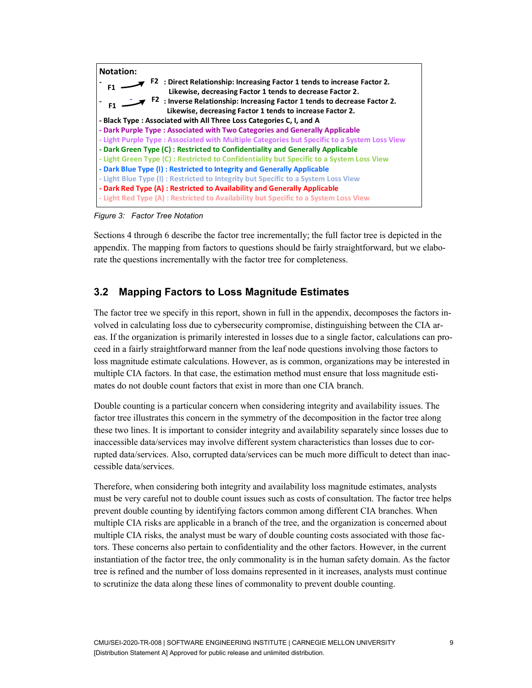

<span id="page-14-1"></span>*Figure 3: Factor Tree Notation*

Sections [4](#page-15-0) through [6](#page-21-0) describe the factor tree incrementally; the full factor tree is depicted in the appendix. The mapping from factors to questions should be fairly straightforward, but we elaborate the questions incrementally with the factor tree for completeness.

### <span id="page-14-0"></span>**3.2 Mapping Factors to Loss Magnitude Estimates**

The factor tree we specify in this report, shown in full in the appendix, decomposes the factors involved in calculating loss due to cybersecurity compromise, distinguishing between the CIA areas. If the organization is primarily interested in losses due to a single factor, calculations can proceed in a fairly straightforward manner from the leaf node questions involving those factors to loss magnitude estimate calculations. However, as is common, organizations may be interested in multiple CIA factors. In that case, the estimation method must ensure that loss magnitude estimates do not double count factors that exist in more than one CIA branch.

Double counting is a particular concern when considering integrity and availability issues. The factor tree illustrates this concern in the symmetry of the decomposition in the factor tree along these two lines. It is important to consider integrity and availability separately since losses due to inaccessible data/services may involve different system characteristics than losses due to corrupted data/services. Also, corrupted data/services can be much more difficult to detect than inaccessible data/services.

Therefore, when considering both integrity and availability loss magnitude estimates, analysts must be very careful not to double count issues such as costs of consultation. The factor tree helps prevent double counting by identifying factors common among different CIA branches. When multiple CIA risks are applicable in a branch of the tree, and the organization is concerned about multiple CIA risks, the analyst must be wary of double counting costs associated with those factors. These concerns also pertain to confidentiality and the other factors. However, in the current instantiation of the factor tree, the only commonality is in the human safety domain. As the factor tree is refined and the number of loss domains represented in it increases, analysts must continue to scrutinize the data along these lines of commonality to prevent double counting.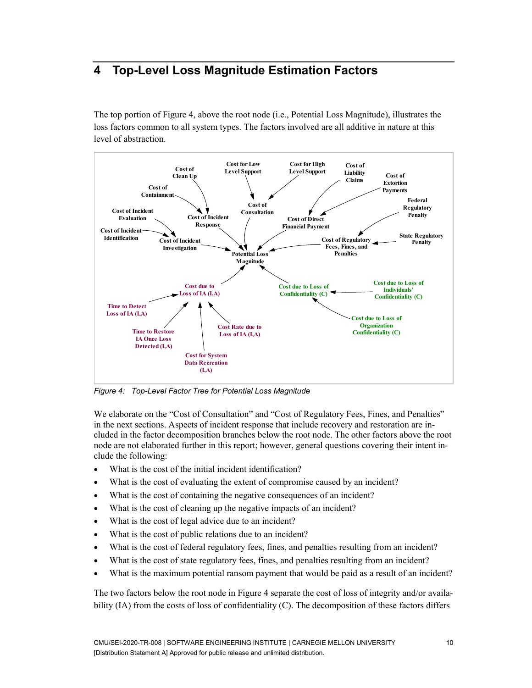### <span id="page-15-0"></span>**4 Top-Level Loss Magnitude Estimation Factors**

The top portion of Figure 4, above the root node (i.e., Potential Loss Magnitude), illustrates the loss factors common to all system types. The factors involved are all additive in nature at this level of abstraction.



<span id="page-15-1"></span>*Figure 4: Top-Level Factor Tree for Potential Loss Magnitude*

We elaborate on the "Cost of Consultation" and "Cost of Regulatory Fees, Fines, and Penalties" in the next sections. Aspects of incident response that include recovery and restoration are included in the factor decomposition branches below the root node. The other factors above the root node are not elaborated further in this report; however, general questions covering their intent include the following:

- What is the cost of the initial incident identification?
- What is the cost of evaluating the extent of compromise caused by an incident?
- What is the cost of containing the negative consequences of an incident?
- What is the cost of cleaning up the negative impacts of an incident?
- What is the cost of legal advice due to an incident?
- What is the cost of public relations due to an incident?
- What is the cost of federal regulatory fees, fines, and penalties resulting from an incident?
- What is the cost of state regulatory fees, fines, and penalties resulting from an incident?
- What is the maximum potential ransom payment that would be paid as a result of an incident?

The two factors below the root node i[n Figure 4](#page-15-1) separate the cost of loss of integrity and/or availability (IA) from the costs of loss of confidentiality (C). The decomposition of these factors differs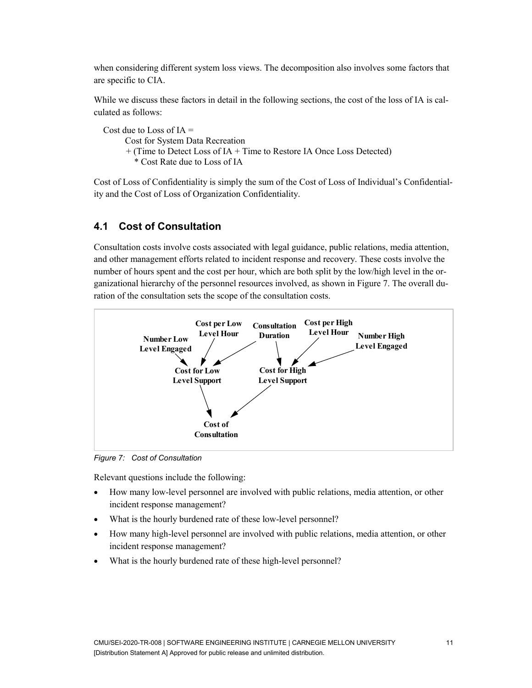when considering different system loss views. The decomposition also involves some factors that are specific to CIA.

While we discuss these factors in detail in the following sections, the cost of the loss of IA is calculated as follows:

Cost due to Loss of  $IA =$ Cost for System Data Recreation + (Time to Detect Loss of IA + Time to Restore IA Once Loss Detected) \* Cost Rate due to Loss of IA

Cost of Loss of Confidentiality is simply the sum of the Cost of Loss of Individual's Confidentiality and the Cost of Loss of Organization Confidentiality.

#### <span id="page-16-0"></span>**4.1 Cost of Consultation**

Consultation costs involve costs associated with legal guidance, public relations, media attention, and other management efforts related to incident response and recovery. These costs involve the number of hours spent and the cost per hour, which are both split by the low/high level in the organizational hierarchy of the personnel resources involved, as shown in Figure 7. The overall duration of the consultation sets the scope of the consultation costs.



*Figure 7: Cost of Consultation*

Relevant questions include the following:

- How many low-level personnel are involved with public relations, media attention, or other incident response management?
- What is the hourly burdened rate of these low-level personnel?
- How many high-level personnel are involved with public relations, media attention, or other incident response management?
- What is the hourly burdened rate of these high-level personnel?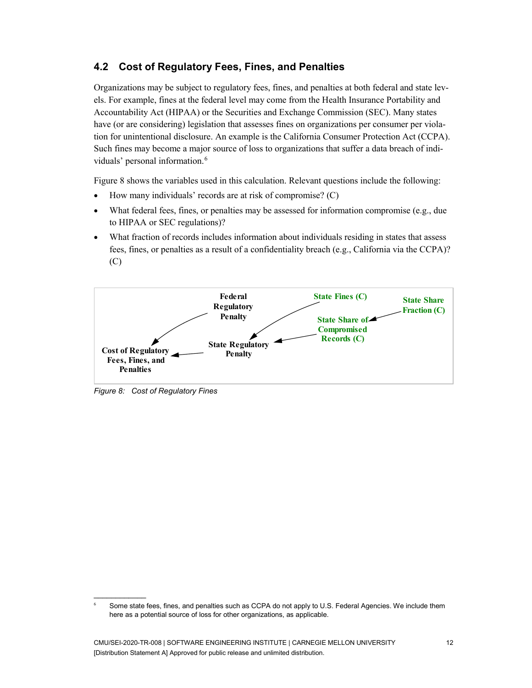### <span id="page-17-0"></span>**4.2 Cost of Regulatory Fees, Fines, and Penalties**

Organizations may be subject to regulatory fees, fines, and penalties at both federal and state levels. For example, fines at the federal level may come from the Health Insurance Portability and Accountability Act (HIPAA) or the Securities and Exchange Commission (SEC). Many states have (or are considering) legislation that assesses fines on organizations per consumer per violation for unintentional disclosure. An example is the California Consumer Protection Act (CCPA). Such fines may become a major source of loss to organizations that suffer a data breach of indi-viduals' personal information.<sup>[6](#page-17-1)</sup>

Figure 8 shows the variables used in this calculation. Relevant questions include the following:

- How many individuals' records are at risk of compromise? (C)
- What federal fees, fines, or penalties may be assessed for information compromise (e.g., due to HIPAA or SEC regulations)?
- What fraction of records includes information about individuals residing in states that assess fees, fines, or penalties as a result of a confidentiality breach (e.g., California via the CCPA)? (C)



*Figure 8: Cost of Regulatory Fines*

\_\_\_\_\_\_\_\_\_\_\_\_

<span id="page-17-1"></span><sup>&</sup>lt;sup>6</sup> Some state fees, fines, and penalties such as CCPA do not apply to U.S. Federal Agencies. We include them here as a potential source of loss for other organizations, as applicable.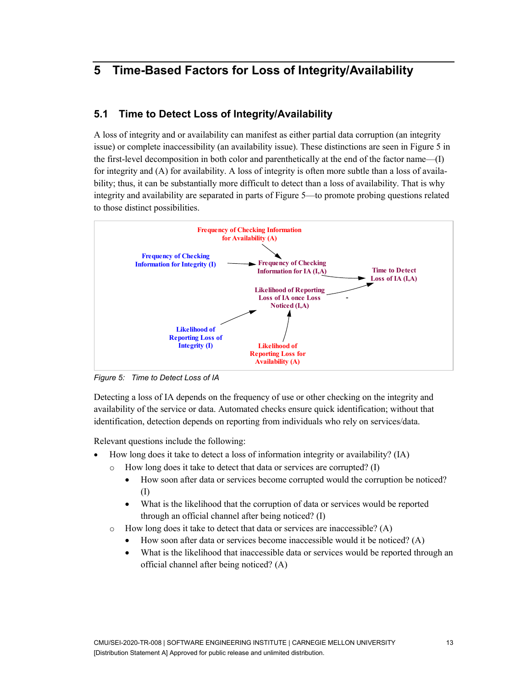### <span id="page-18-0"></span>**5 Time-Based Factors for Loss of Integrity/Availability**

### <span id="page-18-1"></span>**5.1 Time to Detect Loss of Integrity/Availability**

A loss of integrity and or availability can manifest as either partial data corruption (an integrity issue) or complete inaccessibility (an availability issue). These distinctions are seen in Figure 5 in the first-level decomposition in both color and parenthetically at the end of the factor name—(I) for integrity and (A) for availability. A loss of integrity is often more subtle than a loss of availability; thus, it can be substantially more difficult to detect than a loss of availability. That is why integrity and availability are separated in parts of Figure 5—to promote probing questions related to those distinct possibilities.



<span id="page-18-2"></span>*Figure 5: Time to Detect Loss of IA*

Detecting a loss of IA depends on the frequency of use or other checking on the integrity and availability of the service or data. Automated checks ensure quick identification; without that identification, detection depends on reporting from individuals who rely on services/data.

Relevant questions include the following:

- How long does it take to detect a loss of information integrity or availability? (IA)
	- o How long does it take to detect that data or services are corrupted? (I)
		- How soon after data or services become corrupted would the corruption be noticed? (I)
		- What is the likelihood that the corruption of data or services would be reported through an official channel after being noticed? (I)
	- o How long does it take to detect that data or services are inaccessible? (A)
		- How soon after data or services become inaccessible would it be noticed? (A)
		- What is the likelihood that inaccessible data or services would be reported through an official channel after being noticed? (A)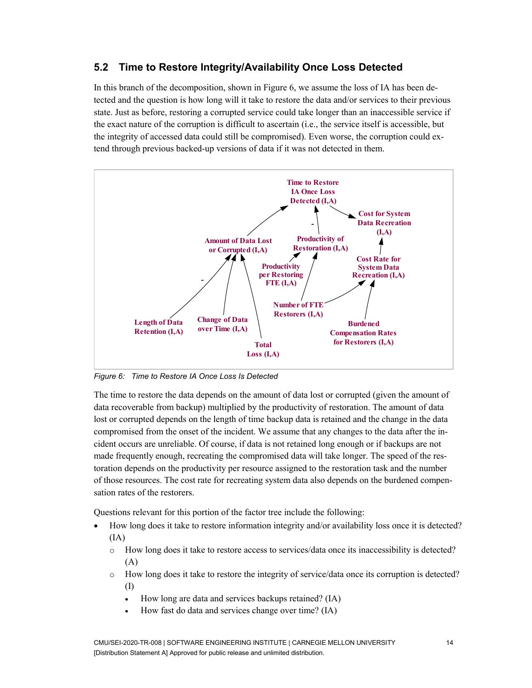### <span id="page-19-0"></span>**5.2 Time to Restore Integrity/Availability Once Loss Detected**

In this branch of the decomposition, shown in Figure 6, we assume the loss of IA has been detected and the question is how long will it take to restore the data and/or services to their previous state. Just as before, restoring a corrupted service could take longer than an inaccessible service if the exact nature of the corruption is difficult to ascertain (i.e., the service itself is accessible, but the integrity of accessed data could still be compromised). Even worse, the corruption could extend through previous backed-up versions of data if it was not detected in them.



<span id="page-19-1"></span>*Figure 6: Time to Restore IA Once Loss Is Detected*

The time to restore the data depends on the amount of data lost or corrupted (given the amount of data recoverable from backup) multiplied by the productivity of restoration. The amount of data lost or corrupted depends on the length of time backup data is retained and the change in the data compromised from the onset of the incident. We assume that any changes to the data after the incident occurs are unreliable. Of course, if data is not retained long enough or if backups are not made frequently enough, recreating the compromised data will take longer. The speed of the restoration depends on the productivity per resource assigned to the restoration task and the number of those resources. The cost rate for recreating system data also depends on the burdened compensation rates of the restorers.

Questions relevant for this portion of the factor tree include the following:

- How long does it take to restore information integrity and/or availability loss once it is detected? (IA)
	- o How long does it take to restore access to services/data once its inaccessibility is detected? (A)
	- o How long does it take to restore the integrity of service/data once its corruption is detected? (I)
		- How long are data and services backups retained? (IA)
		- How fast do data and services change over time? (IA)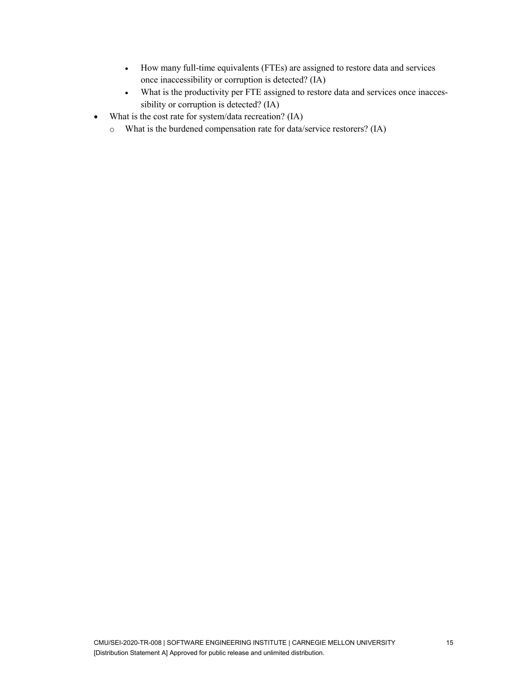- How many full-time equivalents (FTEs) are assigned to restore data and services once inaccessibility or corruption is detected? (IA)
- What is the productivity per FTE assigned to restore data and services once inaccessibility or corruption is detected? (IA)
- What is the cost rate for system/data recreation? (IA)
	- o What is the burdened compensation rate for data/service restorers? (IA)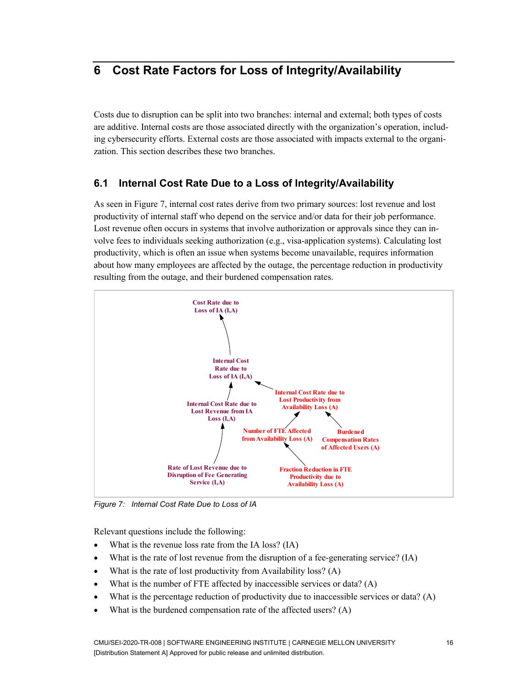### <span id="page-21-0"></span>**6 Cost Rate Factors for Loss of Integrity/Availability**

Costs due to disruption can be split into two branches: internal and external; both types of costs are additive. Internal costs are those associated directly with the organization's operation, including cybersecurity efforts. External costs are those associated with impacts external to the organization. This section describes these two branches.

### <span id="page-21-1"></span>**6.1 Internal Cost Rate Due to a Loss of Integrity/Availability**

As seen in Figure 7, internal cost rates derive from two primary sources: lost revenue and lost productivity of internal staff who depend on the service and/or data for their job performance. Lost revenue often occurs in systems that involve authorization or approvals since they can involve fees to individuals seeking authorization (e.g., visa-application systems). Calculating lost productivity, which is often an issue when systems become unavailable, requires information about how many employees are affected by the outage, the percentage reduction in productivity resulting from the outage, and their burdened compensation rates.



<span id="page-21-2"></span>*Figure 7: Internal Cost Rate Due to Loss of IA*

Relevant questions include the following:

- What is the revenue loss rate from the IA loss? (IA)
- What is the rate of lost revenue from the disruption of a fee-generating service? (IA)
- What is the rate of lost productivity from Availability loss?  $(A)$
- What is the number of FTE affected by inaccessible services or data? (A)
- What is the percentage reduction of productivity due to inaccessible services or data? (A)
- What is the burdened compensation rate of the affected users? (A)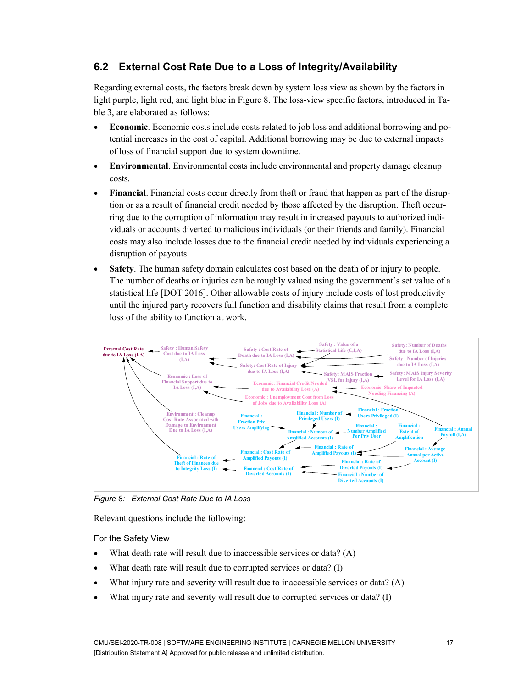### <span id="page-22-0"></span>**6.2 External Cost Rate Due to a Loss of Integrity/Availability**

Regarding external costs, the factors break down by system loss view as shown by the factors in light purple, light red, and light blue in Figure 8. The loss-view specific factors, introduced in Table 3, are elaborated as follows:

- **Economic**. Economic costs include costs related to job loss and additional borrowing and potential increases in the cost of capital. Additional borrowing may be due to external impacts of loss of financial support due to system downtime.
- **Environmental**. Environmental costs include environmental and property damage cleanup costs.
- **Financial**. Financial costs occur directly from theft or fraud that happen as part of the disruption or as a result of financial credit needed by those affected by the disruption. Theft occurring due to the corruption of information may result in increased payouts to authorized individuals or accounts diverted to malicious individuals (or their friends and family). Financial costs may also include losses due to the financial credit needed by individuals experiencing a disruption of payouts.
- **Safety**. The human safety domain calculates cost based on the death of or injury to people. The number of deaths or injuries can be roughly valued using the government's set value of a statistical life [DOT 2016]. Other allowable costs of injury include costs of lost productivity until the injured party recovers full function and disability claims that result from a complete loss of the ability to function at work.



<span id="page-22-1"></span>*Figure 8: External Cost Rate Due to IA Loss*

Relevant questions include the following:

For the Safety View

- What death rate will result due to inaccessible services or data? (A)
- What death rate will result due to corrupted services or data? (I)
- What injury rate and severity will result due to inaccessible services or data? (A)
- What injury rate and severity will result due to corrupted services or data? (I)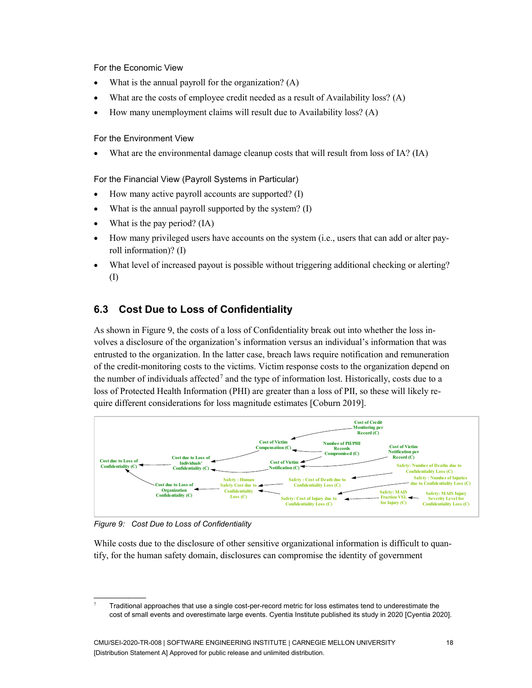For the Economic View

- What is the annual payroll for the organization?  $(A)$
- What are the costs of employee credit needed as a result of Availability loss? (A)
- How many unemployment claims will result due to Availability loss? (A)

For the Environment View

What are the environmental damage cleanup costs that will result from loss of IA? (IA)

For the Financial View (Payroll Systems in Particular)

- How many active payroll accounts are supported? (I)
- What is the annual payroll supported by the system? (I)
- What is the pay period? (IA)
- How many privileged users have accounts on the system (i.e., users that can add or alter payroll information)? (I)
- What level of increased payout is possible without triggering additional checking or alerting? (I)

### <span id="page-23-0"></span>**6.3 Cost Due to Loss of Confidentiality**

As shown in Figure 9, the costs of a loss of Confidentiality break out into whether the loss involves a disclosure of the organization's information versus an individual's information that was entrusted to the organization. In the latter case, breach laws require notification and remuneration of the credit-monitoring costs to the victims. Victim response costs to the organization depend on the number of individuals affected<sup>[7](#page-23-2)</sup> and the type of information lost. Historically, costs due to a loss of Protected Health Information (PHI) are greater than a loss of PII, so these will likely require different considerations for loss magnitude estimates [Coburn 2019].



<span id="page-23-1"></span>*Figure 9: Cost Due to Loss of Confidentiality*

\_\_\_\_\_\_\_\_\_\_\_\_

While costs due to the disclosure of other sensitive organizational information is difficult to quantify, for the human safety domain, disclosures can compromise the identity of government

<span id="page-23-2"></span><sup>7</sup> Traditional approaches that use a single cost-per-record metric for loss estimates tend to underestimate the cost of small events and overestimate large events. Cyentia Institute published its study in 2020 [Cyentia 2020].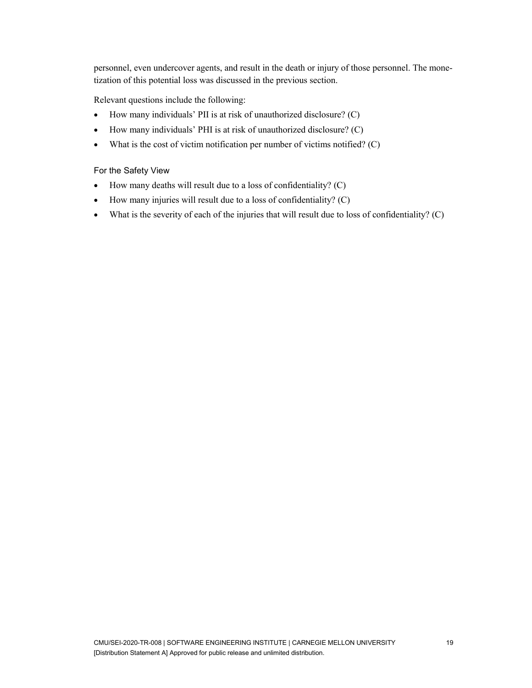personnel, even undercover agents, and result in the death or injury of those personnel. The monetization of this potential loss was discussed in the previous section.

Relevant questions include the following:

- How many individuals' PII is at risk of unauthorized disclosure? (C)
- How many individuals' PHI is at risk of unauthorized disclosure? (C)
- What is the cost of victim notification per number of victims notified? (C)

For the Safety View

- How many deaths will result due to a loss of confidentiality? (C)
- How many injuries will result due to a loss of confidentiality? (C)
- What is the severity of each of the injuries that will result due to loss of confidentiality? (C)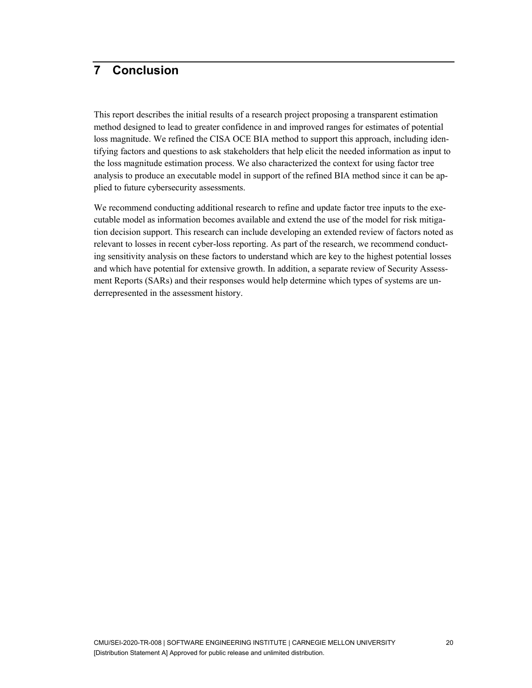### <span id="page-25-0"></span>**7 Conclusion**

This report describes the initial results of a research project proposing a transparent estimation method designed to lead to greater confidence in and improved ranges for estimates of potential loss magnitude. We refined the CISA OCE BIA method to support this approach, including identifying factors and questions to ask stakeholders that help elicit the needed information as input to the loss magnitude estimation process. We also characterized the context for using factor tree analysis to produce an executable model in support of the refined BIA method since it can be applied to future cybersecurity assessments.

We recommend conducting additional research to refine and update factor tree inputs to the executable model as information becomes available and extend the use of the model for risk mitigation decision support. This research can include developing an extended review of factors noted as relevant to losses in recent cyber-loss reporting. As part of the research, we recommend conducting sensitivity analysis on these factors to understand which are key to the highest potential losses and which have potential for extensive growth. In addition, a separate review of Security Assessment Reports (SARs) and their responses would help determine which types of systems are underrepresented in the assessment history.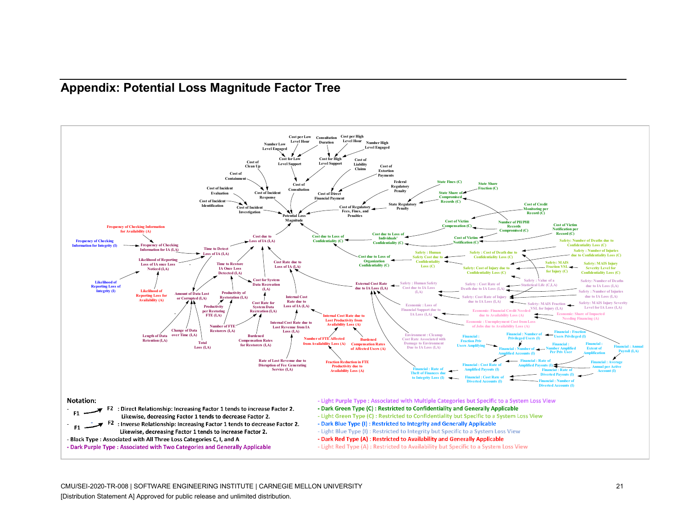### **Appendix: Potential Loss Magnitude Factor Tree**

<span id="page-26-0"></span>

CMU/SEI-2020-TR-008 | SOFTWARE ENGINEERING INSTITUTE | CARNEGIE MELLON UNIVERSITY 21 [Distribution Statement A] Approved for public release and unlimited distribution.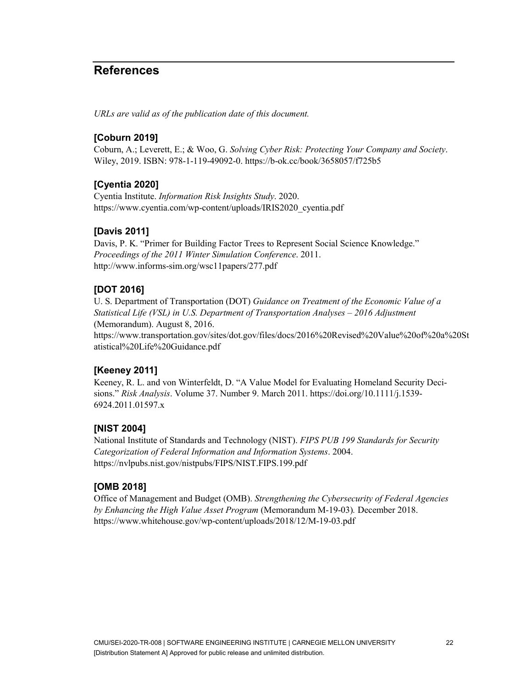### <span id="page-27-0"></span>**References**

*URLs are valid as of the publication date of this document.*

#### **[Coburn 2019]**

Coburn, A.; Leverett, E.; & Woo, G. *Solving Cyber Risk: Protecting Your Company and Society*. Wiley, 2019. ISBN: 978-1-119-49092-0.<https://b-ok.cc/book/3658057/f725b5>

#### **[Cyentia 2020]**

Cyentia Institute. *Information Risk Insights Study*. 2020. [https://www.cyentia.com/wp-content/uploads/IRIS2020\\_cyentia.pdf](https://www.cyentia.com/wp-content/uploads/IRIS2020_cyentia.pdf)

#### **[Davis 2011]**

Davis, P. K. "Primer for Building Factor Trees to Represent Social Science Knowledge." *Proceedings of the 2011 Winter Simulation Conference*. 2011. <http://www.informs-sim.org/wsc11papers/277.pdf>

#### **[DOT 2016]**

U. S. Department of Transportation (DOT) *Guidance on Treatment of the Economic Value of a Statistical Life (VSL) in U.S. Department of Transportation Analyses – 2016 Adjustment* (Memorandum). August 8, 2016.

[https://www.transportation.gov/sites/dot.gov/files/docs/2016%20Revised%20Value%20of%20a%20St](https://www.transportation.gov/sites/dot.gov/files/docs/2016%20Revised%20Value%20of%20a%20Statistical%20Life%20Guidance.pdf) atistical[%20Life%20Guidance.pdf](https://www.transportation.gov/sites/dot.gov/files/docs/2016%20Revised%20Value%20of%20a%20Statistical%20Life%20Guidance.pdf)

#### **[Keeney 2011]**

Keeney, R. L. and von Winterfeldt, D. "A Value Model for Evaluating Homeland Security Decisions." *Risk Analysis*. Volume 37. Number 9. March 2011. [https://doi.org/10.1111/j.1539-](https://doi.org/10.1111/j.1539-6924.2011.01597.x) [6924.2011.01597.x](https://doi.org/10.1111/j.1539-6924.2011.01597.x)

#### **[NIST 2004]**

National Institute of Standards and Technology (NIST). *FIPS PUB 199 Standards for Security Categorization of Federal Information and Information Systems*. 2004. <https://nvlpubs.nist.gov/nistpubs/FIPS/NIST.FIPS.199.pdf>

#### **[OMB 2018]**

Office of Management and Budget (OMB). *Strengthening the Cybersecurity of Federal Agencies by Enhancing the High Value Asset Program* (Memorandum M-19-03)*.* December 2018. <https://www.whitehouse.gov/wp-content/uploads/2018/12/M-19-03.pdf>